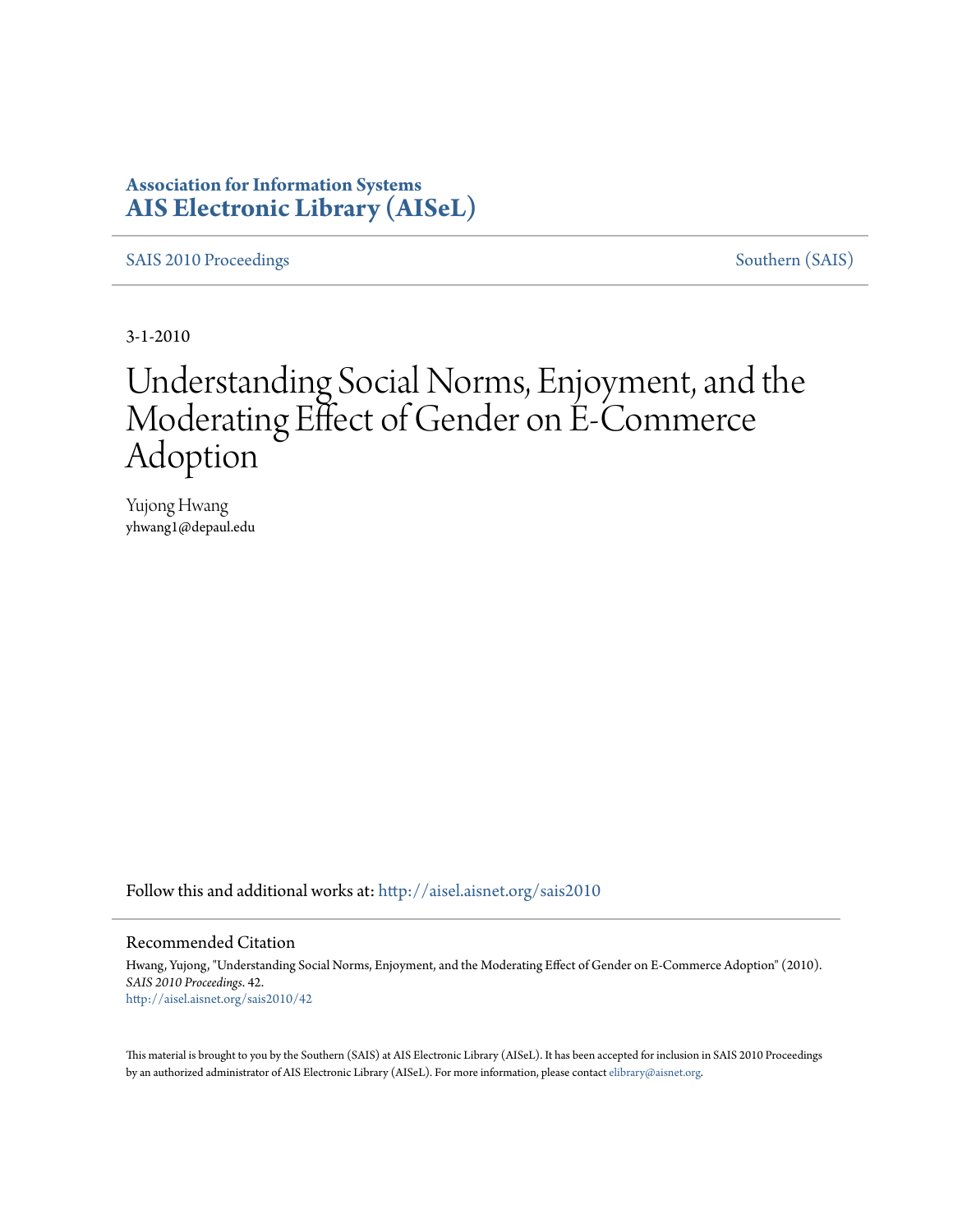### **Association for Information Systems [AIS Electronic Library \(AISeL\)](http://aisel.aisnet.org?utm_source=aisel.aisnet.org%2Fsais2010%2F42&utm_medium=PDF&utm_campaign=PDFCoverPages)**

[SAIS 2010 Proceedings](http://aisel.aisnet.org/sais2010?utm_source=aisel.aisnet.org%2Fsais2010%2F42&utm_medium=PDF&utm_campaign=PDFCoverPages) [Southern \(SAIS\)](http://aisel.aisnet.org/sais?utm_source=aisel.aisnet.org%2Fsais2010%2F42&utm_medium=PDF&utm_campaign=PDFCoverPages)

3-1-2010

# Understanding Social Norms, Enjoyment, and the Moderating Effect of Gender on E-Commerce Adoption

Yujong Hwang yhwang1@depaul.edu

Follow this and additional works at: [http://aisel.aisnet.org/sais2010](http://aisel.aisnet.org/sais2010?utm_source=aisel.aisnet.org%2Fsais2010%2F42&utm_medium=PDF&utm_campaign=PDFCoverPages)

#### Recommended Citation

Hwang, Yujong, "Understanding Social Norms, Enjoyment, and the Moderating Effect of Gender on E-Commerce Adoption" (2010). *SAIS 2010 Proceedings*. 42. [http://aisel.aisnet.org/sais2010/42](http://aisel.aisnet.org/sais2010/42?utm_source=aisel.aisnet.org%2Fsais2010%2F42&utm_medium=PDF&utm_campaign=PDFCoverPages)

This material is brought to you by the Southern (SAIS) at AIS Electronic Library (AISeL). It has been accepted for inclusion in SAIS 2010 Proceedings by an authorized administrator of AIS Electronic Library (AISeL). For more information, please contact [elibrary@aisnet.org](mailto:elibrary@aisnet.org%3E).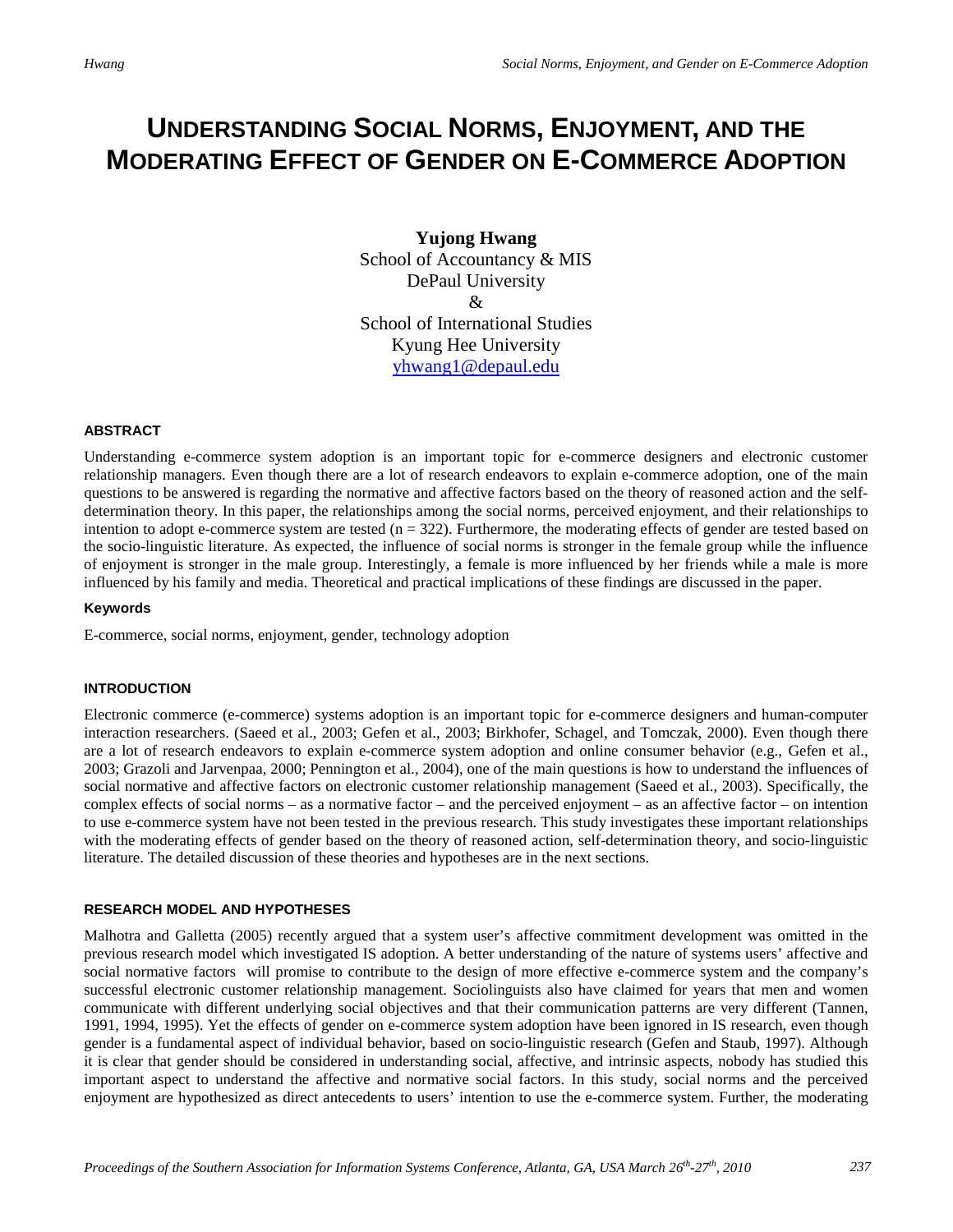## **UNDERSTANDING SOCIAL NORMS, ENJOYMENT, AND THE MODERATING EFFECT OF GENDER ON E-COMMERCE ADOPTION**

**Yujong Hwang** School of Accountancy & MIS DePaul University  $\mathcal{R}_{\mathcal{L}}$ School of International Studies Kyung Hee University [yhwang1@depaul.edu](mailto:yhwang1@depaul.edu)

#### **ABSTRACT**

Understanding e-commerce system adoption is an important topic for e-commerce designers and electronic customer relationship managers. Even though there are a lot of research endeavors to explain e-commerce adoption, one of the main questions to be answered is regarding the normative and affective factors based on the theory of reasoned action and the selfdetermination theory. In this paper, the relationships among the social norms, perceived enjoyment, and their relationships to intention to adopt e-commerce system are tested  $(n = 322)$ . Furthermore, the moderating effects of gender are tested based on the socio-linguistic literature. As expected, the influence of social norms is stronger in the female group while the influence of enjoyment is stronger in the male group. Interestingly, a female is more influenced by her friends while a male is more influenced by his family and media. Theoretical and practical implications of these findings are discussed in the paper.

#### **Keywords**

E-commerce, social norms, enjoyment, gender, technology adoption

#### **INTRODUCTION**

Electronic commerce (e-commerce) systems adoption is an important topic for e-commerce designers and human-computer interaction researchers. (Saeed et al., 2003; Gefen et al., 2003; Birkhofer, Schagel, and Tomczak, 2000). Even though there are a lot of research endeavors to explain e-commerce system adoption and online consumer behavior (e.g., Gefen et al., 2003; Grazoli and Jarvenpaa, 2000; Pennington et al., 2004), one of the main questions is how to understand the influences of social normative and affective factors on electronic customer relationship management (Saeed et al., 2003). Specifically, the complex effects of social norms – as a normative factor – and the perceived enjoyment – as an affective factor – on intention to use e-commerce system have not been tested in the previous research. This study investigates these important relationships with the moderating effects of gender based on the theory of reasoned action, self-determination theory, and socio-linguistic literature. The detailed discussion of these theories and hypotheses are in the next sections.

#### **RESEARCH MODEL AND HYPOTHESES**

Malhotra and Galletta (2005) recently argued that a system user's affective commitment development was omitted in the previous research model which investigated IS adoption. A better understanding of the nature of systems users' affective and social normative factors will promise to contribute to the design of more effective e-commerce system and the company's successful electronic customer relationship management. Sociolinguists also have claimed for years that men and women communicate with different underlying social objectives and that their communication patterns are very different (Tannen, 1991, 1994, 1995). Yet the effects of gender on e-commerce system adoption have been ignored in IS research, even though gender is a fundamental aspect of individual behavior, based on socio-linguistic research (Gefen and Staub, 1997). Although it is clear that gender should be considered in understanding social, affective, and intrinsic aspects, nobody has studied this important aspect to understand the affective and normative social factors. In this study, social norms and the perceived enjoyment are hypothesized as direct antecedents to users' intention to use the e-commerce system. Further, the moderating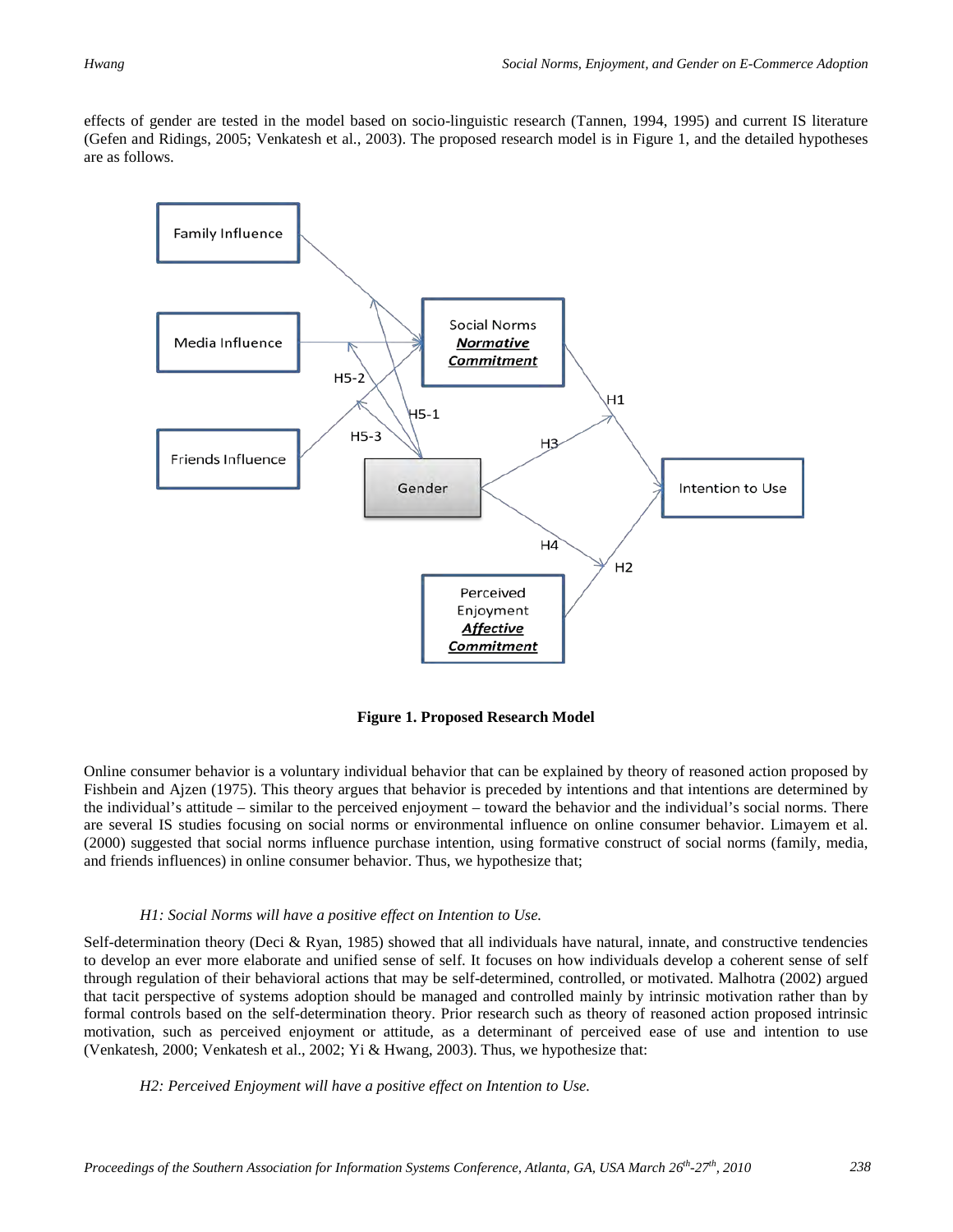effects of gender are tested in the model based on socio-linguistic research (Tannen, 1994, 1995) and current IS literature (Gefen and Ridings, 2005; Venkatesh et al., 2003). The proposed research model is in Figure 1, and the detailed hypotheses are as follows.



**Figure 1. Proposed Research Model**

Online consumer behavior is a voluntary individual behavior that can be explained by theory of reasoned action proposed by Fishbein and Ajzen (1975). This theory argues that behavior is preceded by intentions and that intentions are determined by the individual's attitude – similar to the perceived enjoyment – toward the behavior and the individual's social norms. There are several IS studies focusing on social norms or environmental influence on online consumer behavior. Limayem et al. (2000) suggested that social norms influence purchase intention, using formative construct of social norms (family, media, and friends influences) in online consumer behavior. Thus, we hypothesize that;

#### *H1: Social Norms will have a positive effect on Intention to Use.*

Self-determination theory (Deci & Ryan, 1985) showed that all individuals have natural, innate, and constructive tendencies to develop an ever more elaborate and unified sense of self. It focuses on how individuals develop a coherent sense of self through regulation of their behavioral actions that may be self-determined, controlled, or motivated. Malhotra (2002) argued that tacit perspective of systems adoption should be managed and controlled mainly by intrinsic motivation rather than by formal controls based on the self-determination theory. Prior research such as theory of reasoned action proposed intrinsic motivation, such as perceived enjoyment or attitude, as a determinant of perceived ease of use and intention to use (Venkatesh, 2000; Venkatesh et al., 2002; Yi & Hwang, 2003). Thus, we hypothesize that:

*H2: Perceived Enjoyment will have a positive effect on Intention to Use.*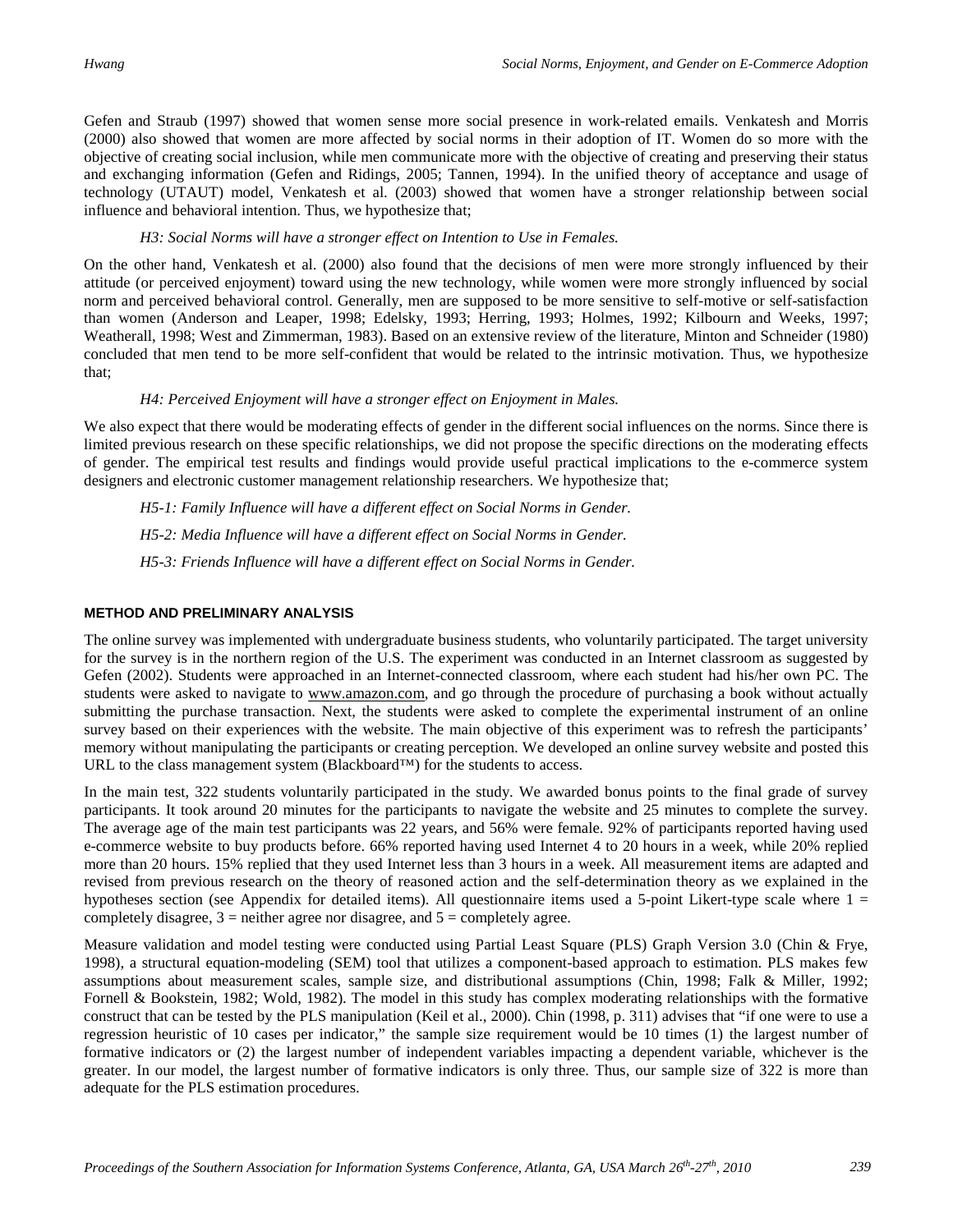Gefen and Straub (1997) showed that women sense more social presence in work-related emails. Venkatesh and Morris (2000) also showed that women are more affected by social norms in their adoption of IT. Women do so more with the objective of creating social inclusion, while men communicate more with the objective of creating and preserving their status and exchanging information (Gefen and Ridings, 2005; Tannen, 1994). In the unified theory of acceptance and usage of technology (UTAUT) model, Venkatesh et al. (2003) showed that women have a stronger relationship between social influence and behavioral intention. Thus, we hypothesize that;

#### *H3: Social Norms will have a stronger effect on Intention to Use in Females.*

On the other hand, Venkatesh et al. (2000) also found that the decisions of men were more strongly influenced by their attitude (or perceived enjoyment) toward using the new technology, while women were more strongly influenced by social norm and perceived behavioral control. Generally, men are supposed to be more sensitive to self-motive or self-satisfaction than women (Anderson and Leaper, 1998; Edelsky, 1993; Herring, 1993; Holmes, 1992; Kilbourn and Weeks, 1997; Weatherall, 1998; West and Zimmerman, 1983). Based on an extensive review of the literature, Minton and Schneider (1980) concluded that men tend to be more self-confident that would be related to the intrinsic motivation. Thus, we hypothesize that;

#### *H4: Perceived Enjoyment will have a stronger effect on Enjoyment in Males.*

We also expect that there would be moderating effects of gender in the different social influences on the norms. Since there is limited previous research on these specific relationships, we did not propose the specific directions on the moderating effects of gender. The empirical test results and findings would provide useful practical implications to the e-commerce system designers and electronic customer management relationship researchers. We hypothesize that;

*H5-1: Family Influence will have a different effect on Social Norms in Gender.* 

*H5-2: Media Influence will have a different effect on Social Norms in Gender.* 

*H5-3: Friends Influence will have a different effect on Social Norms in Gender.* 

#### **METHOD AND PRELIMINARY ANALYSIS**

The online survey was implemented with undergraduate business students, who voluntarily participated. The target university for the survey is in the northern region of the U.S. The experiment was conducted in an Internet classroom as suggested by Gefen (2002). Students were approached in an Internet-connected classroom, where each student had his/her own PC. The students were asked to navigate to www.amazon.com, and go through the procedure of purchasing a book without actually submitting the purchase transaction. Next, the students were asked to complete the experimental instrument of an online survey based on their experiences with the website. The main objective of this experiment was to refresh the participants' memory without manipulating the participants or creating perception. We developed an online survey website and posted this URL to the class management system (Blackboard™) for the students to access.

In the main test, 322 students voluntarily participated in the study. We awarded bonus points to the final grade of survey participants. It took around 20 minutes for the participants to navigate the website and 25 minutes to complete the survey. The average age of the main test participants was 22 years, and 56% were female. 92% of participants reported having used e-commerce website to buy products before. 66% reported having used Internet 4 to 20 hours in a week, while 20% replied more than 20 hours. 15% replied that they used Internet less than 3 hours in a week. All measurement items are adapted and revised from previous research on the theory of reasoned action and the self-determination theory as we explained in the hypotheses section (see Appendix for detailed items). All questionnaire items used a 5-point Likert-type scale where  $1 =$ completely disagree,  $3$  = neither agree nor disagree, and  $5$  = completely agree.

Measure validation and model testing were conducted using Partial Least Square (PLS) Graph Version 3.0 (Chin & Frye, 1998), a structural equation-modeling (SEM) tool that utilizes a component-based approach to estimation. PLS makes few assumptions about measurement scales, sample size, and distributional assumptions (Chin, 1998; Falk & Miller, 1992; Fornell & Bookstein, 1982; Wold, 1982). The model in this study has complex moderating relationships with the formative construct that can be tested by the PLS manipulation (Keil et al., 2000). Chin (1998, p. 311) advises that "if one were to use a regression heuristic of 10 cases per indicator," the sample size requirement would be 10 times (1) the largest number of formative indicators or (2) the largest number of independent variables impacting a dependent variable, whichever is the greater. In our model, the largest number of formative indicators is only three. Thus, our sample size of 322 is more than adequate for the PLS estimation procedures.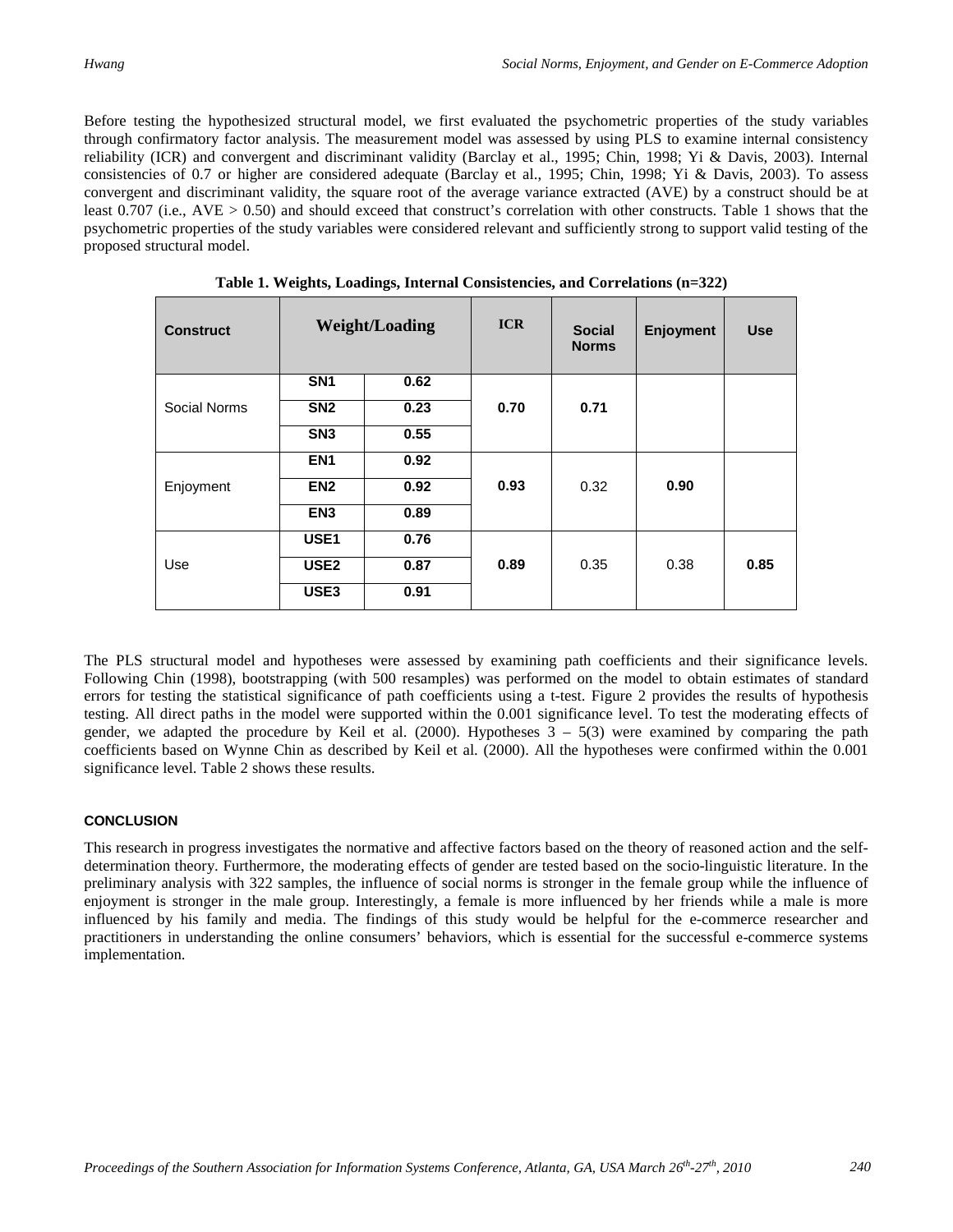Before testing the hypothesized structural model, we first evaluated the psychometric properties of the study variables through confirmatory factor analysis. The measurement model was assessed by using PLS to examine internal consistency reliability (ICR) and convergent and discriminant validity (Barclay et al., 1995; Chin, 1998; Yi & Davis, 2003). Internal consistencies of 0.7 or higher are considered adequate (Barclay et al., 1995; Chin, 1998; Yi & Davis, 2003). To assess convergent and discriminant validity, the square root of the average variance extracted (AVE) by a construct should be at least 0.707 (i.e., AVE > 0.50) and should exceed that construct's correlation with other constructs. Table 1 shows that the psychometric properties of the study variables were considered relevant and sufficiently strong to support valid testing of the proposed structural model.

| <b>Construct</b> | <b>Weight/Loading</b> |      | <b>ICR</b> | <b>Social</b><br><b>Norms</b> | Enjoyment | <b>Use</b> |
|------------------|-----------------------|------|------------|-------------------------------|-----------|------------|
|                  | SN <sub>1</sub>       | 0.62 |            |                               |           |            |
| Social Norms     | SN <sub>2</sub>       | 0.23 | 0.70       | 0.71                          |           |            |
|                  | SN <sub>3</sub>       | 0.55 |            |                               |           |            |
| Enjoyment        | EN <sub>1</sub>       | 0.92 |            | 0.32                          | 0.90      |            |
|                  | EN <sub>2</sub>       | 0.92 | 0.93       |                               |           |            |
|                  | EN <sub>3</sub>       | 0.89 |            |                               |           |            |
| Use              | USE <sub>1</sub>      | 0.76 | 0.89       | 0.35                          | 0.38      |            |
|                  | USE <sub>2</sub>      | 0.87 |            |                               |           | 0.85       |
|                  | USE3                  | 0.91 |            |                               |           |            |

 **Table 1. Weights, Loadings, Internal Consistencies, and Correlations (n=322)**

The PLS structural model and hypotheses were assessed by examining path coefficients and their significance levels. Following Chin (1998), bootstrapping (with 500 resamples) was performed on the model to obtain estimates of standard errors for testing the statistical significance of path coefficients using a t-test. Figure 2 provides the results of hypothesis testing. All direct paths in the model were supported within the 0.001 significance level. To test the moderating effects of gender, we adapted the procedure by Keil et al. (2000). Hypotheses  $3 - 5(3)$  were examined by comparing the path coefficients based on Wynne Chin as described by Keil et al. (2000). All the hypotheses were confirmed within the 0.001 significance level. Table 2 shows these results.

#### **CONCLUSION**

This research in progress investigates the normative and affective factors based on the theory of reasoned action and the selfdetermination theory. Furthermore, the moderating effects of gender are tested based on the socio-linguistic literature. In the preliminary analysis with 322 samples, the influence of social norms is stronger in the female group while the influence of enjoyment is stronger in the male group. Interestingly, a female is more influenced by her friends while a male is more influenced by his family and media. The findings of this study would be helpful for the e-commerce researcher and practitioners in understanding the online consumers' behaviors, which is essential for the successful e-commerce systems implementation.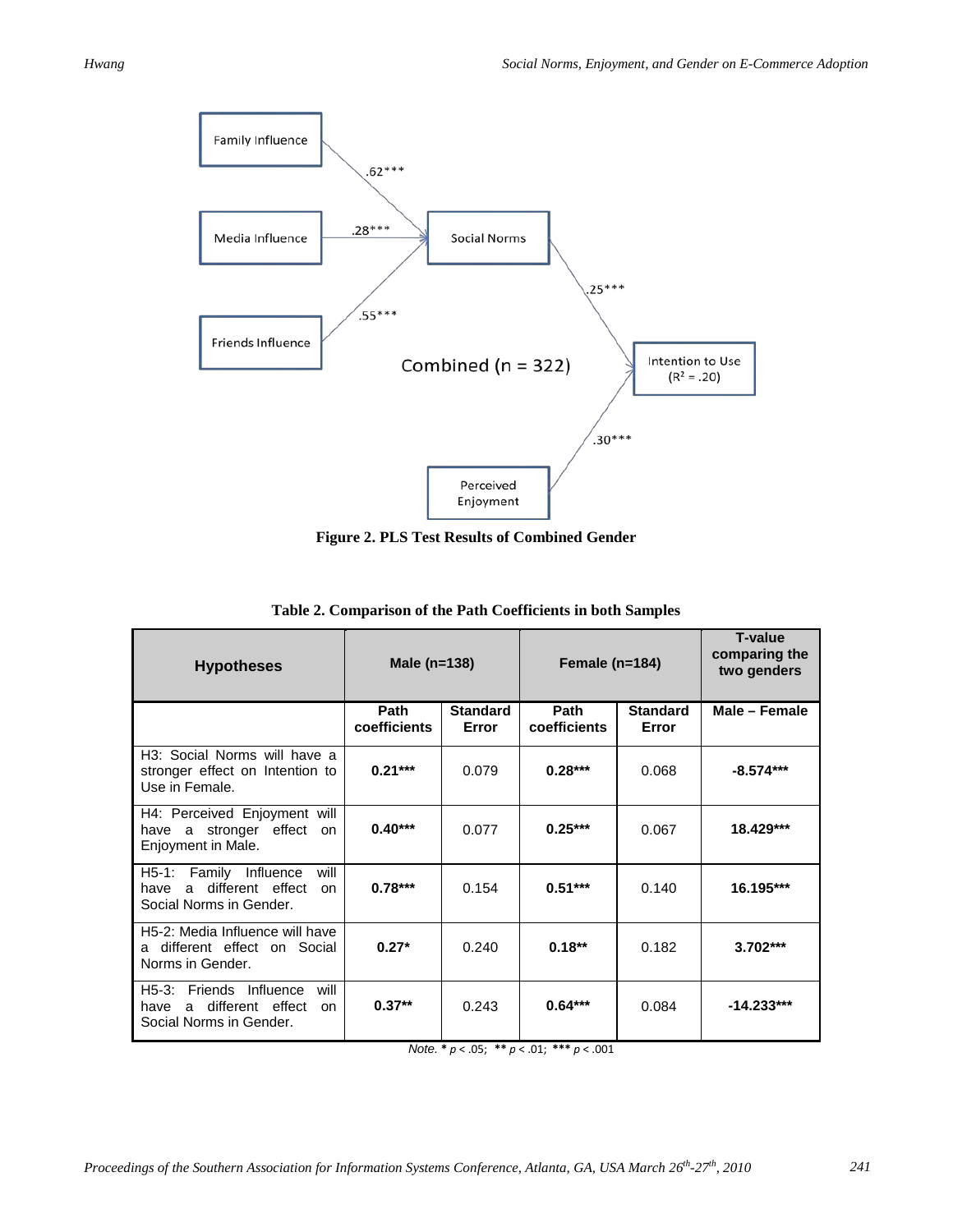

**Figure 2. PLS Test Results of Combined Gender** 

| <b>Hypotheses</b>                                                                                                | Male $(n=138)$              |                          | Female ( $n=184$ )   |                          | <b>T-value</b><br>comparing the<br>two genders |
|------------------------------------------------------------------------------------------------------------------|-----------------------------|--------------------------|----------------------|--------------------------|------------------------------------------------|
|                                                                                                                  | <b>Path</b><br>coefficients | <b>Standard</b><br>Error | Path<br>coefficients | <b>Standard</b><br>Error | Male - Female                                  |
| H <sub>3</sub> : Social Norms will have a<br>stronger effect on Intention to<br>Use in Female.                   | $0.21***$                   | 0.079                    | $0.28***$            | 0.068                    | $-8.574***$                                    |
| H4: Perceived Enjoyment will<br>have a stronger effect<br>on.<br>Enjoyment in Male.                              | $0.40***$                   | 0.077                    | $0.25***$            | 0.067                    | 18.429***                                      |
| Influence<br>$H5-1:$<br>Family<br>will<br>a different effect<br>have<br><sub>on</sub><br>Social Norms in Gender. | $0.78***$                   | 0.154                    | $0.51***$            | 0.140                    | 16.195***                                      |
| H5-2: Media Influence will have<br>different effect on Social<br>a<br>Norms in Gender.                           | $0.27*$                     | 0.240                    | $0.18***$            | 0.182                    | $3.702***$                                     |
| H5-3: Friends Influence<br>will<br>a different effect<br>have<br>on<br>Social Norms in Gender.                   | $0.37***$                   | 0.243                    | $0.64***$            | 0.084                    | $-14.233***$                                   |

*Note.* **\*** *p* < .05; **\*\*** *p* < .01; **\*\*\*** *p* < .001